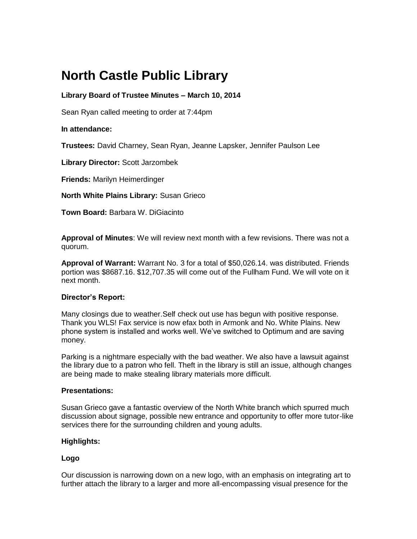# **North Castle Public Library**

# **Library Board of Trustee Minutes – March 10, 2014**

Sean Ryan called meeting to order at 7:44pm

## **In attendance:**

**Trustees:** David Charney, Sean Ryan, Jeanne Lapsker, Jennifer Paulson Lee

**Library Director:** Scott Jarzombek

**Friends:** Marilyn Heimerdinger

**North White Plains Library:** Susan Grieco

**Town Board:** [Barbara W. DiGiacinto](http://www.northcastleny.com/users/bdigiacinto/contact)

**Approval of Minutes**: We will review next month with a few revisions. There was not a quorum.

**Approval of Warrant:** Warrant No. 3 for a total of \$50,026.14. was distributed. Friends portion was \$8687.16. \$12,707.35 will come out of the Fullham Fund. We will vote on it next month.

#### **Director's Report:**

Many closings due to weather.Self check out use has begun with positive response. Thank you WLS! Fax service is now efax both in Armonk and No. White Plains. New phone system is installed and works well. We've switched to Optimum and are saving money.

Parking is a nightmare especially with the bad weather. We also have a lawsuit against the library due to a patron who fell. Theft in the library is still an issue, although changes are being made to make stealing library materials more difficult.

#### **Presentations:**

Susan Grieco gave a fantastic overview of the North White branch which spurred much discussion about signage, possible new entrance and opportunity to offer more tutor-like services there for the surrounding children and young adults.

#### **Highlights:**

## **Logo**

Our discussion is narrowing down on a new logo, with an emphasis on integrating art to further attach the library to a larger and more all-encompassing visual presence for the